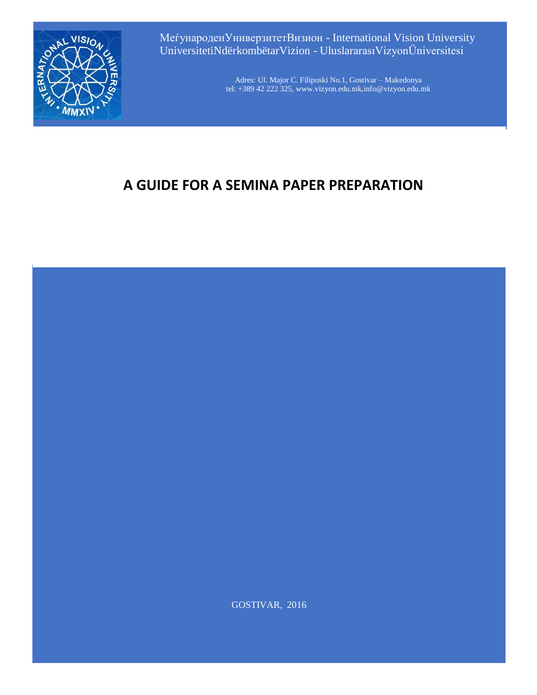

МеѓународенУниверзитетВизион - International Vision University UniversitetiNdërkombëtarVizion - UluslararasıVizyonÜniversitesi

> Adres: Ul. Major C. Filiposki No.1, Gostivar – Makedonya tel: +389 42 222 325, www.vizyon.edu.mk,info@vizyon.edu.mk

# **A GUIDE FOR A SEMINA PAPER PREPARATION**



GOSTIVAR, 2016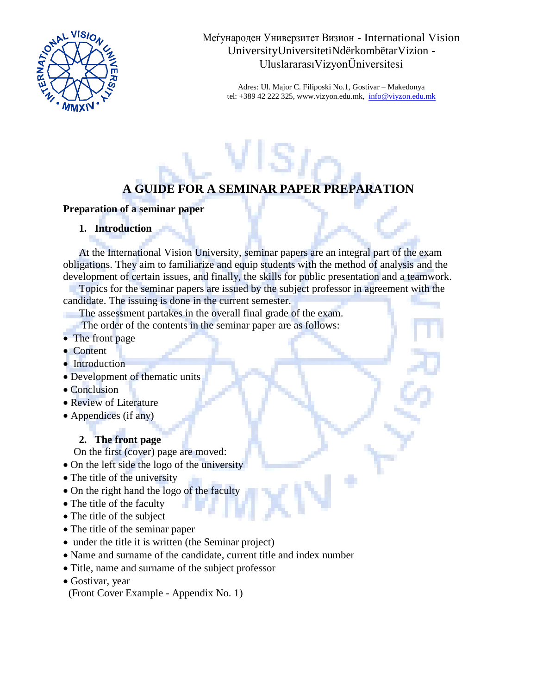

Меѓународен Универзитет Визион - International Vision UniversityUniversitetiNdërkombëtarVizion - UluslararasıVizyonÜniversitesi

Adres: Ul. Major C. Filiposki No.1, Gostivar – Makedonya tel: +389 42 222 325, www.vizyon.edu.mk,  $info@viyzon.edu.mk$ 

## **A GUIDE FOR A SEMINAR PAPER PREPARATION**

#### **Preparation of a seminar paper**

#### **1. Introduction**

At the International Vision University, seminar papers are an integral part of the exam obligations. They aim to familiarize and equip students with the method of analysis and the development of certain issues, and finally, the skills for public presentation and a teamwork.

Topics for the seminar papers are issued by the subject professor in agreement with the candidate. The issuing is done in the current semester.

The assessment partakes in the overall final grade of the exam.

The order of the contents in the seminar paper are as follows:

- The front page
- Content
- Introduction
- Development of thematic units
- Conclusion
- Review of Literature
- Appendices (if any)

## **2. The front page**

On the first (cover) page are moved:

- On the left side the logo of the university
- The title of the university
- On the right hand the logo of the faculty
- The title of the faculty
- The title of the subject
- The title of the seminar paper
- under the title it is written (the Seminar project)
- Name and surname of the candidate, current title and index number
- Title, name and surname of the subject professor
- Gostivar, year
- (Front Cover Example Appendix No. 1)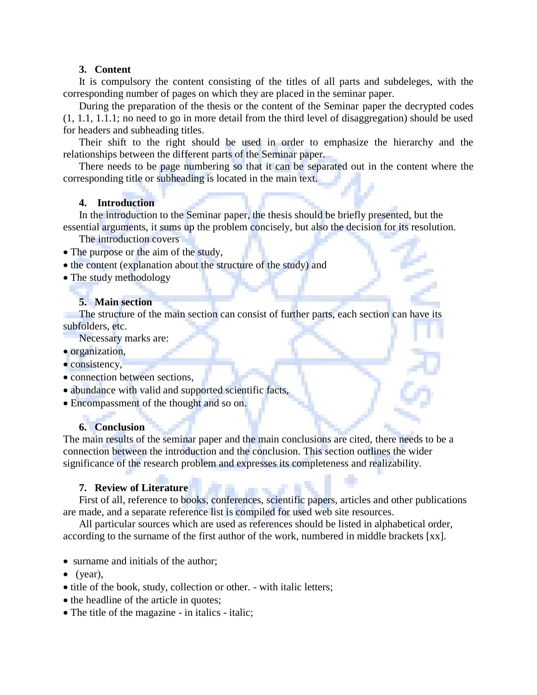#### **3. Content**

It is compulsory the content consisting of the titles of all parts and subdeleges, with the corresponding number of pages on which they are placed in the seminar paper.

During the preparation of the thesis or the content of the Seminar paper the decrypted codes (1, 1.1, 1.1.1; no need to go in more detail from the third level of disaggregation) should be used for headers and subheading titles.

Their shift to the right should be used in order to emphasize the hierarchy and the relationships between the different parts of the Seminar paper.

There needs to be page numbering so that it can be separated out in the content where the corresponding title or subheading is located in the main text.

## **4. Introduction**

In the introduction to the Seminar paper, the thesis should be briefly presented, but the essential arguments, it sums up the problem concisely, but also the decision for its resolution.

The introduction covers

- The purpose or the aim of the study,
- the content (explanation about the structure of the study) and
- The study methodology

#### **5. Main section**

The structure of the main section can consist of further parts, each section can have its subfolders, etc.

Necessary marks are:

- organization,
- consistency,
- connection between sections,
- abundance with valid and supported scientific facts,
- Encompassment of the thought and so on.

## **6. Conclusion**

The main results of the seminar paper and the main conclusions are cited, there needs to be a connection between the introduction and the conclusion. This section outlines the wider significance of the research problem and expresses its completeness and realizability.

#### **7. Review of Literature**

First of all, reference to books, conferences, scientific papers, articles and other publications are made, and a separate reference list is compiled for used web site resources.

All particular sources which are used as references should be listed in alphabetical order, according to the surname of the first author of the work, numbered in middle brackets [xx].

- surname and initials of the author;
- $\bullet$  (year),
- title of the book, study, collection or other. with italic letters;
- the headline of the article in quotes;
- The title of the magazine in italics italic;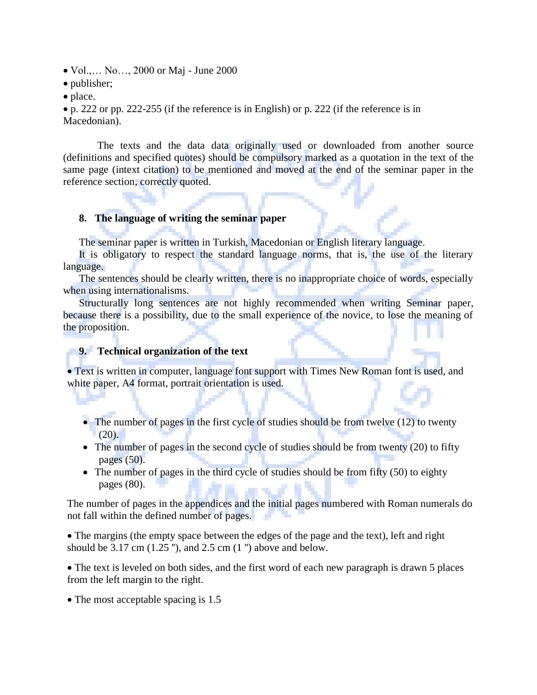- Vol.,... No..., 2000 or Maj June 2000
- publisher:
- place.

• p. 222 or pp. 222-255 (if the reference is in English) or p. 222 (if the reference is in Macedonian).

 The texts and the data data originally used or downloaded from another source (definitions and specified quotes) should be compulsory marked as a quotation in the text of the same page (intext citation) to be mentioned and moved at the end of the seminar paper in the reference section, correctly quoted.

#### **8. The language of writing the seminar paper**

The seminar paper is written in Turkish, Macedonian or English literary language.

It is obligatory to respect the standard language norms, that is, the use of the literary language.

The sentences should be clearly written, there is no inappropriate choice of words, especially when using internationalisms.

Structurally long sentences are not highly recommended when writing Seminar paper, because there is a possibility, due to the small experience of the novice, to lose the meaning of the proposition.

### **9. Technical organization of the text**

• Text is written in computer, language font support with Times New Roman font is used, and white paper, A4 format, portrait orientation is used.

- The number of pages in the first cycle of studies should be from twelve (12) to twenty  $(20)$ .
- The number of pages in the second cycle of studies should be from twenty (20) to fifty pages (50).
- The number of pages in the third cycle of studies should be from fifty (50) to eighty pages (80).

The number of pages in the appendices and the initial pages numbered with Roman numerals do not fall within the defined number of pages.

• The margins (the empty space between the edges of the page and the text), left and right should be  $3.17 \text{ cm}$  (1.25 "), and  $2.5 \text{ cm}$  (1 ") above and below.

• The text is leveled on both sides, and the first word of each new paragraph is drawn 5 places from the left margin to the right.

• The most acceptable spacing is 1.5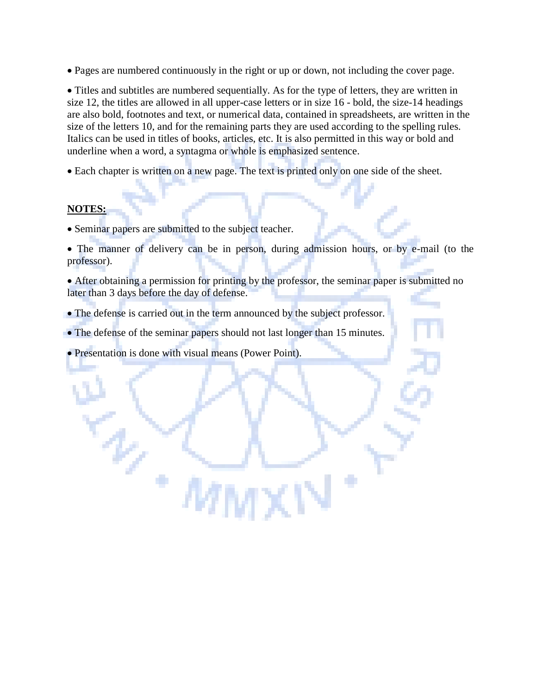• Pages are numbered continuously in the right or up or down, not including the cover page.

• Titles and subtitles are numbered sequentially. As for the type of letters, they are written in size 12, the titles are allowed in all upper-case letters or in size 16 - bold, the size-14 headings are also bold, footnotes and text, or numerical data, contained in spreadsheets, are written in the size of the letters 10, and for the remaining parts they are used according to the spelling rules. Italics can be used in titles of books, articles, etc. It is also permitted in this way or bold and underline when a word, a syntagma or whole is emphasized sentence.

• Each chapter is written on a new page. The text is printed only on one side of the sheet.

## **NOTES:**

- Seminar papers are submitted to the subject teacher.
- The manner of delivery can be in person, during admission hours, or by e-mail (to the professor).
- After obtaining a permission for printing by the professor, the seminar paper is submitted no later than 3 days before the day of defense.
- The defense is carried out in the term announced by the subject professor.
- The defense of the seminar papers should not last longer than 15 minutes.

MΝ

• Presentation is done with visual means (Power Point).